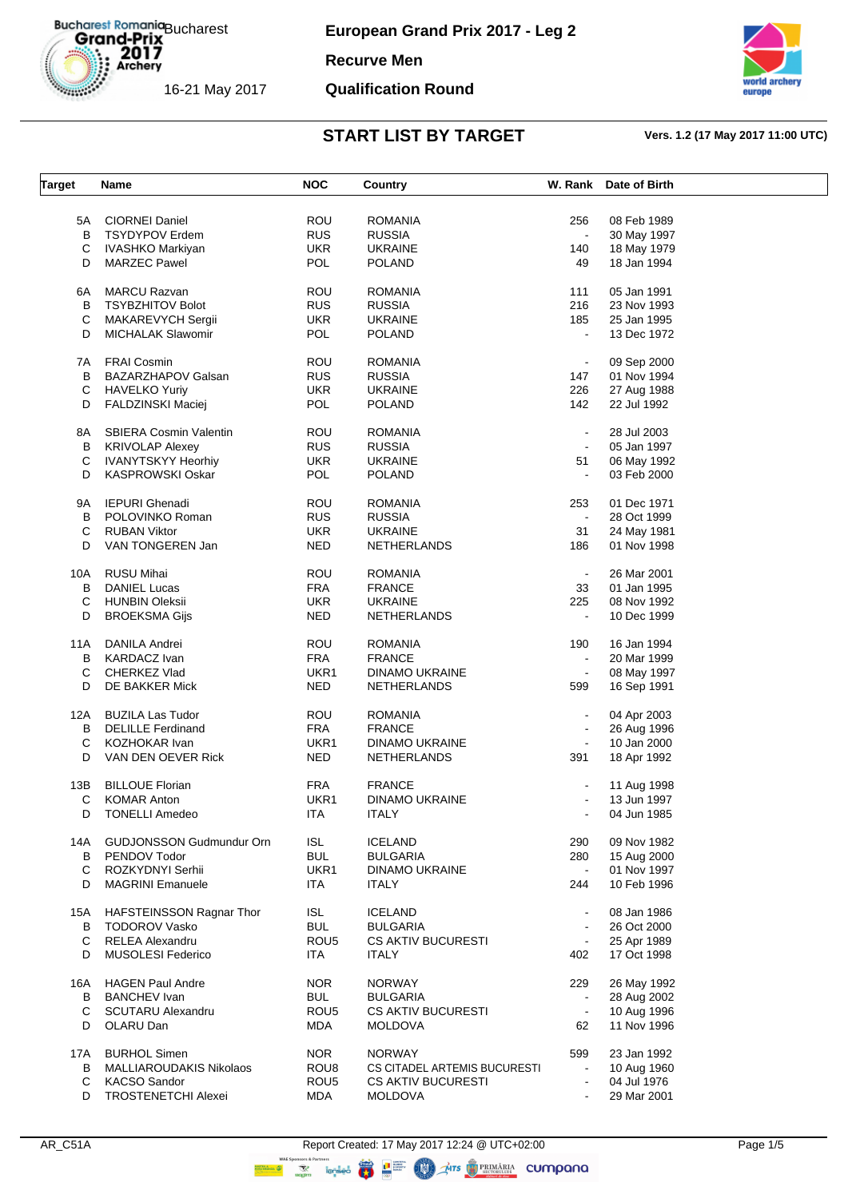**European Grand Prix 2017 - Leg 2**

**Recurve Men**

### **Qualification Round**



| <b>Target</b> | Name                            | <b>NOC</b>       | Country                      |                | W. Rank Date of Birth |  |
|---------------|---------------------------------|------------------|------------------------------|----------------|-----------------------|--|
|               |                                 |                  |                              |                |                       |  |
| 5A            | <b>CIORNEI Daniel</b>           | ROU              | ROMANIA                      | 256            | 08 Feb 1989           |  |
| B             | <b>TSYDYPOV Erdem</b>           | <b>RUS</b>       | <b>RUSSIA</b>                | $\sim$         | 30 May 1997           |  |
| С             | IVASHKO Markiyan                | UKR.             | <b>UKRAINE</b>               | 140            | 18 May 1979           |  |
| D             | <b>MARZEC Pawel</b>             | <b>POL</b>       | POLAND                       | 49             | 18 Jan 1994           |  |
| 6A            | <b>MARCU Razvan</b>             | <b>ROU</b>       | <b>ROMANIA</b>               | 111            | 05 Jan 1991           |  |
| B             | <b>TSYBZHITOV Bolot</b>         | <b>RUS</b>       | <b>RUSSIA</b>                | 216            | 23 Nov 1993           |  |
|               |                                 |                  |                              |                |                       |  |
| C             | MAKAREVYCH Sergii               | UKR.             | <b>UKRAINE</b>               | 185            | 25 Jan 1995           |  |
| D             | MICHALAK Slawomir               | POL              | POLAND                       | $\blacksquare$ | 13 Dec 1972           |  |
| 7A            | <b>FRAI Cosmin</b>              | <b>ROU</b>       | <b>ROMANIA</b>               | $\blacksquare$ | 09 Sep 2000           |  |
| B             | BAZARZHAPOV Galsan              | <b>RUS</b>       | <b>RUSSIA</b>                | 147            | 01 Nov 1994           |  |
| С             | <b>HAVELKO Yuriy</b>            | <b>UKR</b>       | <b>UKRAINE</b>               | 226            | 27 Aug 1988           |  |
| D             | FALDZINSKI Maciej               | POL              | <b>POLAND</b>                | 142            | 22 Jul 1992           |  |
| 8A            | <b>SBIERA Cosmin Valentin</b>   | <b>ROU</b>       | <b>ROMANIA</b>               | $\blacksquare$ | 28 Jul 2003           |  |
| B             | KRIVOLAP Alexey                 | <b>RUS</b>       | <b>RUSSIA</b>                | $\sim$         | 05 Jan 1997           |  |
|               | <b>IVANYTSKYY Heorhiy</b>       | <b>UKR</b>       | <b>UKRAINE</b>               |                |                       |  |
| С             |                                 |                  |                              | 51             | 06 May 1992           |  |
| D             | <b>KASPROWSKI Oskar</b>         | POL              | POLAND                       | $\blacksquare$ | 03 Feb 2000           |  |
| 9Α            | <b>IEPURI Ghenadi</b>           | ROU              | ROMANIA                      | 253            | 01 Dec 1971           |  |
| В             | POLOVINKO Roman                 | <b>RUS</b>       | <b>RUSSIA</b>                | $\blacksquare$ | 28 Oct 1999           |  |
| C             | <b>RUBAN Viktor</b>             | <b>UKR</b>       | <b>UKRAINE</b>               | 31             | 24 May 1981           |  |
| D             | VAN TONGEREN Jan                | <b>NED</b>       | NETHERLANDS                  | 186            | 01 Nov 1998           |  |
|               | RUSU Mihai                      | <b>ROU</b>       | <b>ROMANIA</b>               | $\blacksquare$ | 26 Mar 2001           |  |
| 10A           |                                 |                  |                              |                |                       |  |
| В             | <b>DANIEL Lucas</b>             | <b>FRA</b>       | <b>FRANCE</b>                | 33             | 01 Jan 1995           |  |
| С             | <b>HUNBIN Oleksii</b>           | <b>UKR</b>       | <b>UKRAINE</b>               | 225            | 08 Nov 1992           |  |
| D             | <b>BROEKSMA Gijs</b>            | <b>NED</b>       | <b>NETHERLANDS</b>           | $\blacksquare$ | 10 Dec 1999           |  |
| 11A           | DANILA Andrei                   | ROU              | <b>ROMANIA</b>               | 190            | 16 Jan 1994           |  |
| В             | KARDACZ Ivan                    | <b>FRA</b>       | <b>FRANCE</b>                | $\sim$         | 20 Mar 1999           |  |
| С             | CHERKEZ Vlad                    | UKR1             | <b>DINAMO UKRAINE</b>        | $\blacksquare$ | 08 May 1997           |  |
| D             | DE BAKKER Mick                  | <b>NED</b>       | <b>NETHERLANDS</b>           | 599            | 16 Sep 1991           |  |
|               |                                 |                  |                              |                |                       |  |
| 12A           | <b>BUZILA Las Tudor</b>         | <b>ROU</b>       | <b>ROMANIA</b>               | $\blacksquare$ | 04 Apr 2003           |  |
| В             | <b>DELILLE Ferdinand</b>        | <b>FRA</b>       | <b>FRANCE</b>                | $\bullet$      | 26 Aug 1996           |  |
| C             | KOZHOKAR Ivan                   | UKR1             | DINAMO UKRAINE               | $\sim$         | 10 Jan 2000           |  |
| D             | VAN DEN OEVER Rick              | NED.             | <b>NETHERLANDS</b>           | 391            | 18 Apr 1992           |  |
| 13B           | <b>BILLOUE Florian</b>          | <b>FRA</b>       | <b>FRANCE</b>                | $\blacksquare$ | 11 Aug 1998           |  |
| С             | <b>KOMAR Anton</b>              | UKR1             | DINAMO UKRAINE               |                | 13 Jun 1997           |  |
| D             | <b>TONELLI Amedeo</b>           | <b>ITA</b>       | <b>ITALY</b>                 |                | 04 Jun 1985           |  |
|               |                                 |                  |                              |                |                       |  |
| 14A           | <b>GUDJONSSON Gudmundur Orn</b> | <b>ISL</b>       | <b>ICELAND</b>               | 290            | 09 Nov 1982           |  |
| B             | PENDOV Todor                    | <b>BUL</b>       | <b>BULGARIA</b>              | 280            | 15 Aug 2000           |  |
| С             | ROZKYDNYI Serhii                | UKR1             | DINAMO UKRAINE               | $\blacksquare$ | 01 Nov 1997           |  |
| D             | <b>MAGRINI Emanuele</b>         | <b>ITA</b>       | <b>ITALY</b>                 | 244            | 10 Feb 1996           |  |
| 15A           | HAFSTEINSSON Ragnar Thor        | ISL              | ICELAND                      | $\blacksquare$ | 08 Jan 1986           |  |
| B             | <b>TODOROV Vasko</b>            | <b>BUL</b>       | <b>BULGARIA</b>              | $\blacksquare$ | 26 Oct 2000           |  |
| С             | <b>RELEA Alexandru</b>          | ROU <sub>5</sub> | <b>CS AKTIV BUCURESTI</b>    | $\blacksquare$ | 25 Apr 1989           |  |
| D             | <b>MUSOLESI Federico</b>        | <b>ITA</b>       | <b>ITALY</b>                 |                | 17 Oct 1998           |  |
|               |                                 |                  |                              | 402            |                       |  |
| 16A           | <b>HAGEN Paul Andre</b>         | NOR.             | <b>NORWAY</b>                | 229            | 26 May 1992           |  |
| В             | <b>BANCHEV</b> Ivan             | <b>BUL</b>       | <b>BULGARIA</b>              | $\blacksquare$ | 28 Aug 2002           |  |
| С             | <b>SCUTARU Alexandru</b>        | ROU <sub>5</sub> | <b>CS AKTIV BUCURESTI</b>    | $\blacksquare$ | 10 Aug 1996           |  |
| D             | OLARU Dan                       | <b>MDA</b>       | <b>MOLDOVA</b>               | 62             | 11 Nov 1996           |  |
| 17A           | <b>BURHOL Simen</b>             | <b>NOR</b>       | <b>NORWAY</b>                | 599            | 23 Jan 1992           |  |
| В             | MALLIAROUDAKIS Nikolaos         | ROU <sub>8</sub> | CS CITADEL ARTEMIS BUCURESTI | $\bullet$      | 10 Aug 1960           |  |
| С             | <b>KACSO Sandor</b>             | ROU <sub>5</sub> | <b>CS AKTIV BUCURESTI</b>    | $\blacksquare$ | 04 Jul 1976           |  |
| D             | <b>TROSTENETCHI Alexei</b>      | <b>MDA</b>       | <b>MOLDOVA</b>               |                | 29 Mar 2001           |  |
|               |                                 |                  |                              |                |                       |  |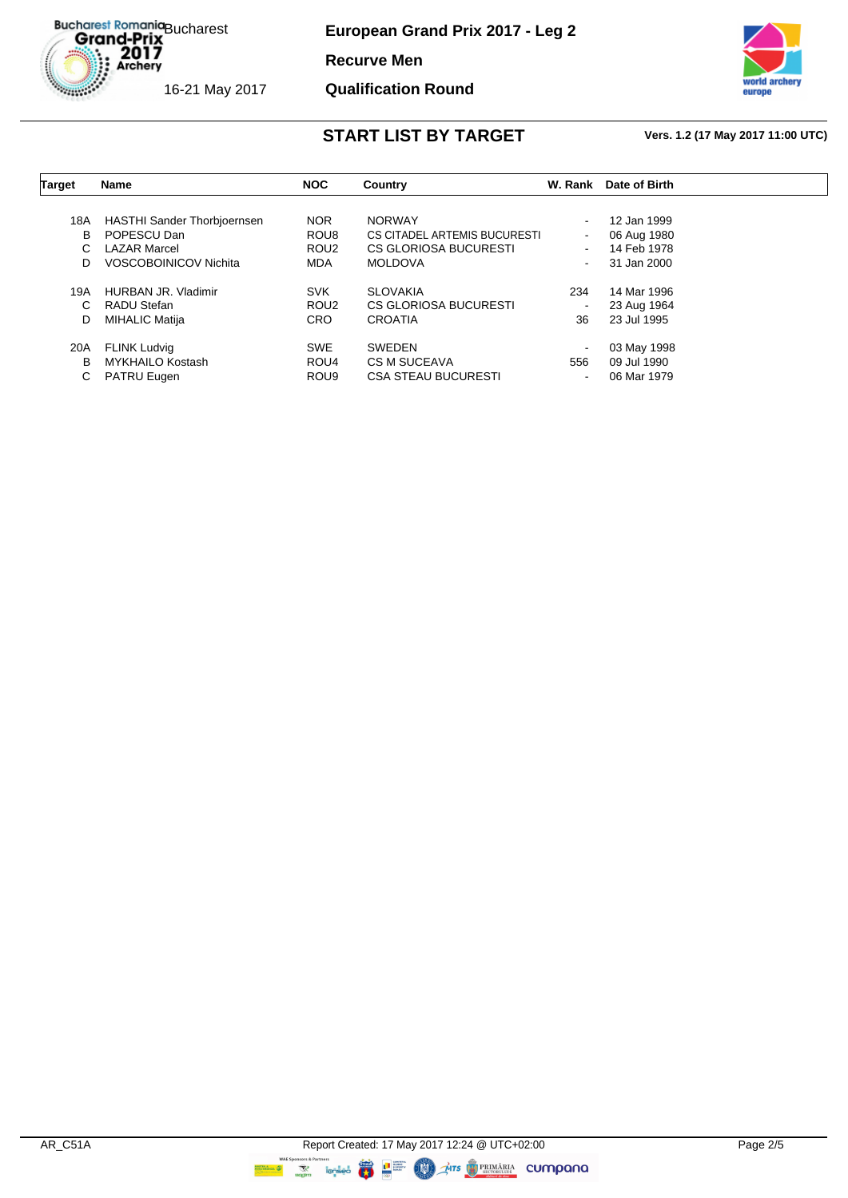**European Grand Prix 2017 - Leg 2**

**Recurve Men**

### **Qualification Round**



| Target | <b>Name</b>                        | <b>NOC</b>       | Country                      | W. Rank        | Date of Birth |  |
|--------|------------------------------------|------------------|------------------------------|----------------|---------------|--|
|        |                                    |                  |                              |                |               |  |
| 18A    | <b>HASTHI Sander Thorbjoernsen</b> | <b>NOR</b>       | <b>NORWAY</b>                | $\blacksquare$ | 12 Jan 1999   |  |
| В      | POPESCU Dan                        | ROU <sub>8</sub> | CS CITADEL ARTEMIS BUCURESTI | $\blacksquare$ | 06 Aug 1980   |  |
| C      | <b>LAZAR Marcel</b>                | ROU <sub>2</sub> | CS GLORIOSA BUCURESTI        | $\sim$         | 14 Feb 1978   |  |
| D.     | VOSCOBOINICOV Nichita              | <b>MDA</b>       | <b>MOLDOVA</b>               | $\sim$         | 31 Jan 2000   |  |
| 19A    | <b>HURBAN JR. Vladimir</b>         | <b>SVK</b>       | <b>SLOVAKIA</b>              | 234            | 14 Mar 1996   |  |
| C      | RADU Stefan                        | ROU <sub>2</sub> | <b>CS GLORIOSA BUCURESTI</b> |                | 23 Aug 1964   |  |
| D      | <b>MIHALIC Matija</b>              | <b>CRO</b>       | <b>CROATIA</b>               | 36             | 23 Jul 1995   |  |
| 20A    | <b>FLINK Ludvig</b>                | <b>SWE</b>       | <b>SWEDEN</b>                | $\blacksquare$ | 03 May 1998   |  |
| В      | <b>MYKHAILO Kostash</b>            | ROU <sub>4</sub> | CS M SUCEAVA                 | 556            | 09 Jul 1990   |  |
| C      | <b>PATRU Eugen</b>                 | ROU <sub>9</sub> | <b>CSA STEAU BUCURESTI</b>   | $\blacksquare$ | 06 Mar 1979   |  |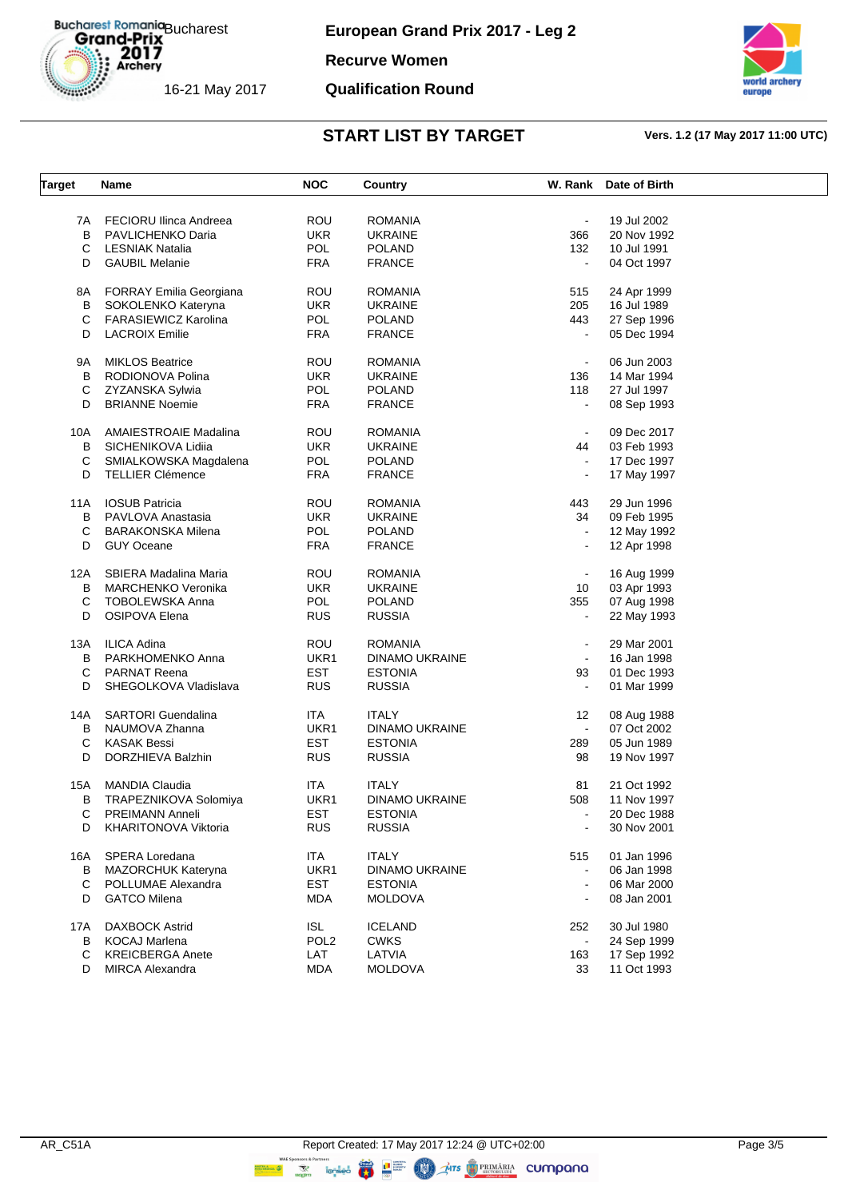**European Grand Prix 2017 - Leg 2**

**Recurve Women**

## **Qualification Round**



| Target | Name                           | <b>NOC</b>       | Country               |                | W. Rank Date of Birth |  |
|--------|--------------------------------|------------------|-----------------------|----------------|-----------------------|--|
|        |                                |                  |                       |                |                       |  |
| 7A     | FECIORU Ilinca Andreea         | ROU              | <b>ROMANIA</b>        | $\blacksquare$ | 19 Jul 2002           |  |
| B      | PAVLICHENKO Daria              | <b>UKR</b>       | <b>UKRAINE</b>        | 366            | 20 Nov 1992           |  |
| С      | <b>LESNIAK Natalia</b>         | <b>POL</b>       | <b>POLAND</b>         | 132            | 10 Jul 1991           |  |
| D      | <b>GAUBIL Melanie</b>          | <b>FRA</b>       | <b>FRANCE</b>         | $\blacksquare$ | 04 Oct 1997           |  |
| 8Α     | <b>FORRAY Emilia Georgiana</b> | ROU              | <b>ROMANIA</b>        | 515            | 24 Apr 1999           |  |
| в      | SOKOLENKO Kateryna             | <b>UKR</b>       | <b>UKRAINE</b>        | 205            | 16 Jul 1989           |  |
|        |                                |                  | <b>POLAND</b>         |                |                       |  |
| С      | <b>FARASIEWICZ Karolina</b>    | <b>POL</b>       |                       | 443            | 27 Sep 1996           |  |
| D      | <b>LACROIX Emilie</b>          | <b>FRA</b>       | <b>FRANCE</b>         | $\blacksquare$ | 05 Dec 1994           |  |
| 9Α     | <b>MIKLOS Beatrice</b>         | ROU              | <b>ROMANIA</b>        | $\blacksquare$ | 06 Jun 2003           |  |
| В      | RODIONOVA Polina               | <b>UKR</b>       | <b>UKRAINE</b>        | 136            | 14 Mar 1994           |  |
| С      | ZYZANSKA Sylwia                | <b>POL</b>       | <b>POLAND</b>         | 118            | 27 Jul 1997           |  |
| D      | <b>BRIANNE Noemie</b>          | <b>FRA</b>       | <b>FRANCE</b>         | $\blacksquare$ | 08 Sep 1993           |  |
| 10A    | <b>AMAIESTROAIE Madalina</b>   | <b>ROU</b>       | <b>ROMANIA</b>        |                | 09 Dec 2017           |  |
| В      | SICHENIKOVA Lidija             | <b>UKR</b>       | <b>UKRAINE</b>        | 44             | 03 Feb 1993           |  |
| С      |                                | <b>POL</b>       | <b>POLAND</b>         | $\blacksquare$ | 17 Dec 1997           |  |
|        | SMIALKOWSKA Magdalena          |                  |                       |                |                       |  |
| D      | <b>TELLIER Clémence</b>        | <b>FRA</b>       | <b>FRANCE</b>         | $\blacksquare$ | 17 May 1997           |  |
| 11A    | <b>IOSUB Patricia</b>          | ROU              | <b>ROMANIA</b>        | 443            | 29 Jun 1996           |  |
| В      | PAVLOVA Anastasia              | <b>UKR</b>       | <b>UKRAINE</b>        | 34             | 09 Feb 1995           |  |
| С      | <b>BARAKONSKA Milena</b>       | POL              | <b>POLAND</b>         |                | 12 May 1992           |  |
| D      | <b>GUY Oceane</b>              | <b>FRA</b>       | <b>FRANCE</b>         | $\blacksquare$ | 12 Apr 1998           |  |
| 12A    | SBIERA Madalina Maria          | ROU              | <b>ROMANIA</b>        | $\blacksquare$ | 16 Aug 1999           |  |
| в      | <b>MARCHENKO Veronika</b>      | <b>UKR</b>       | <b>UKRAINE</b>        |                | 03 Apr 1993           |  |
|        |                                |                  |                       | 10             |                       |  |
| С      | <b>TOBOLEWSKA Anna</b>         | POL              | <b>POLAND</b>         | 355            | 07 Aug 1998           |  |
| D      | OSIPOVA Elena                  | <b>RUS</b>       | <b>RUSSIA</b>         | $\blacksquare$ | 22 May 1993           |  |
| 13A    | <b>ILICA Adina</b>             | <b>ROU</b>       | <b>ROMANIA</b>        |                | 29 Mar 2001           |  |
| В      | PARKHOMENKO Anna               | UKR1             | DINAMO UKRAINE        | $\blacksquare$ | 16 Jan 1998           |  |
| С      | <b>PARNAT Reena</b>            | <b>EST</b>       | <b>ESTONIA</b>        | 93             | 01 Dec 1993           |  |
| D      | SHEGOLKOVA Vladislava          | <b>RUS</b>       | <b>RUSSIA</b>         | $\blacksquare$ | 01 Mar 1999           |  |
|        |                                |                  |                       |                |                       |  |
| 14A    | <b>SARTORI</b> Guendalina      | ITA.             | <b>ITALY</b>          | 12             | 08 Aug 1988           |  |
| В      | NAUMOVA Zhanna                 | UKR1             | <b>DINAMO UKRAINE</b> | $\sim$         | 07 Oct 2002           |  |
| С      | <b>KASAK Bessi</b>             | <b>EST</b>       | <b>ESTONIA</b>        | 289            | 05 Jun 1989           |  |
| D      | DORZHIEVA Balzhin              | <b>RUS</b>       | <b>RUSSIA</b>         | 98             | 19 Nov 1997           |  |
| 15A    | <b>MANDIA Claudia</b>          | <b>ITA</b>       | <b>ITALY</b>          | 81             | 21 Oct 1992           |  |
| в      | <b>TRAPEZNIKOVA Solomiya</b>   | UKR1             | <b>DINAMO UKRAINE</b> | 508            | 11 Nov 1997           |  |
| С      | <b>PREIMANN Anneli</b>         | EST              | <b>ESTONIA</b>        |                | 20 Dec 1988           |  |
| D      | KHARITONOVA Viktoria           | <b>RUS</b>       | <b>RUSSIA</b>         | $\blacksquare$ | 30 Nov 2001           |  |
|        |                                |                  |                       |                |                       |  |
| 16A    | SPERA Loredana                 | ITA.             | <b>ITALY</b>          | 515            | 01 Jan 1996           |  |
| В      | <b>MAZORCHUK Kateryna</b>      | UKR1             | <b>DINAMO UKRAINE</b> | $\blacksquare$ | 06 Jan 1998           |  |
| С      | POLLUMAE Alexandra             | <b>EST</b>       | <b>ESTONIA</b>        |                | 06 Mar 2000           |  |
| D      | <b>GATCO Milena</b>            | <b>MDA</b>       | <b>MOLDOVA</b>        |                | 08 Jan 2001           |  |
|        | <b>DAXBOCK Astrid</b>          | <b>ISL</b>       | <b>ICELAND</b>        |                | 30 Jul 1980           |  |
| 17A    |                                |                  |                       | 252            |                       |  |
| В      | <b>KOCAJ Marlena</b>           | POL <sub>2</sub> | <b>CWKS</b>           |                | 24 Sep 1999           |  |
| С      | <b>KREICBERGA Anete</b>        | LAT              | LATVIA                | 163            | 17 Sep 1992           |  |
| D      | <b>MIRCA Alexandra</b>         | <b>MDA</b>       | <b>MOLDOVA</b>        | 33             | 11 Oct 1993           |  |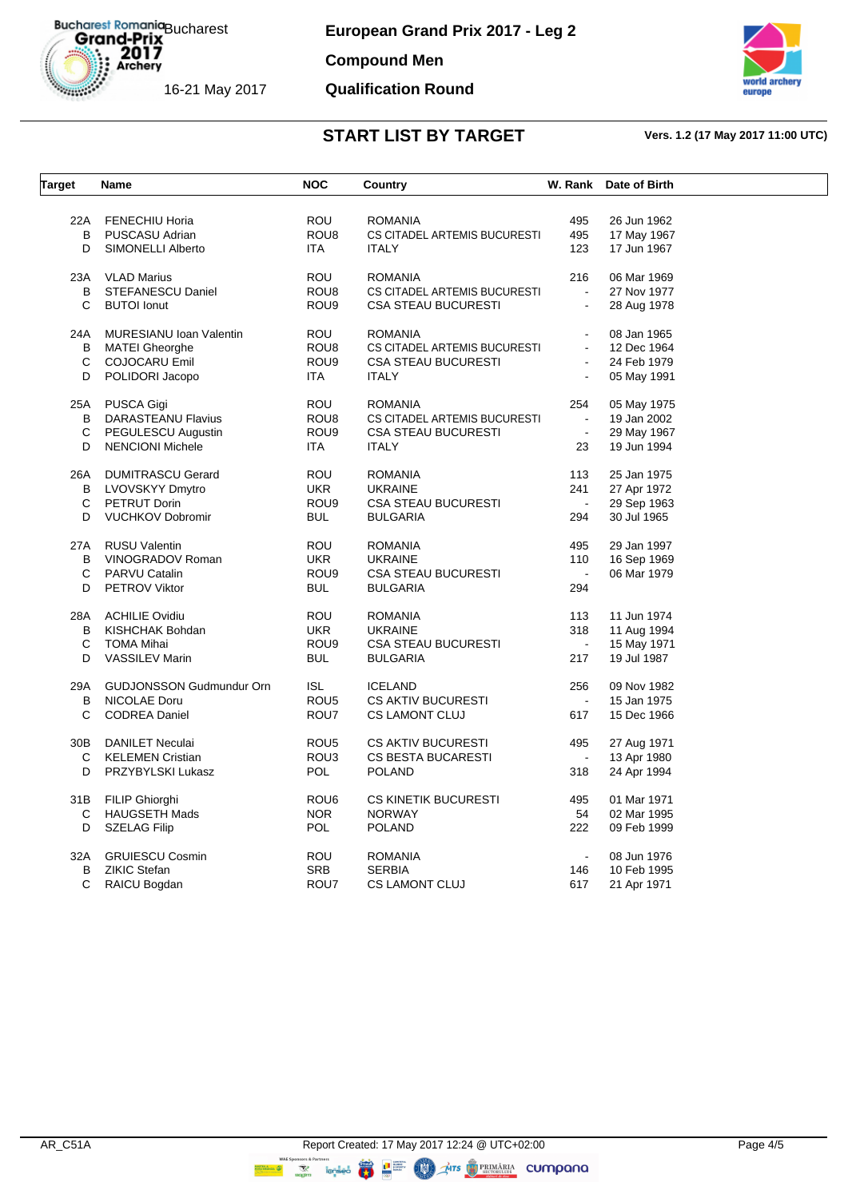**Compound Men**

## **Qualification Round**



| <b>Target</b> | Name                            | <b>NOC</b>       | <b>Country</b>               | W. Rank        | Date of Birth |  |
|---------------|---------------------------------|------------------|------------------------------|----------------|---------------|--|
|               |                                 |                  |                              |                |               |  |
|               | 22A FENECHIU Horia              | <b>ROU</b>       | <b>ROMANIA</b>               | 495            | 26 Jun 1962   |  |
| B             | PUSCASU Adrian                  | ROU8             | CS CITADEL ARTEMIS BUCURESTI | 495            | 17 May 1967   |  |
| D             | SIMONELLI Alberto               | ITA.             | <b>ITALY</b>                 | 123            | 17 Jun 1967   |  |
|               | 23A VLAD Marius                 | <b>ROU</b>       | <b>ROMANIA</b>               | 216            | 06 Mar 1969   |  |
| B             | STEFANESCU Daniel               | ROU <sub>8</sub> | CS CITADEL ARTEMIS BUCURESTI | $\blacksquare$ | 27 Nov 1977   |  |
| C             | <b>BUTOI</b> lonut              | ROU <sub>9</sub> | <b>CSA STEAU BUCURESTI</b>   | $\omega$       | 28 Aug 1978   |  |
| 24A           | <b>MURESIANU Ioan Valentin</b>  | ROU              | <b>ROMANIA</b>               |                | 08 Jan 1965   |  |
| В             | MATEI Gheorghe                  | ROU <sub>8</sub> | CS CITADEL ARTEMIS BUCURESTI | $\blacksquare$ | 12 Dec 1964   |  |
| С             | <b>COJOCARU Emil</b>            | ROU <sub>9</sub> | <b>CSA STEAU BUCURESTI</b>   | $\blacksquare$ | 24 Feb 1979   |  |
| D             | POLIDORI Jacopo                 | <b>ITA</b>       | <b>ITALY</b>                 | $\blacksquare$ | 05 May 1991   |  |
|               | 25A PUSCA Gigi                  | <b>ROU</b>       | ROMANIA                      | 254            | 05 May 1975   |  |
| В             | DARASTEANU Flavius              | ROU8             | CS CITADEL ARTEMIS BUCURESTI | $\sim$         | 19 Jan 2002   |  |
| С             | PEGULESCU Augustin              | ROU <sub>9</sub> | CSA STEAU BUCURESTI          | $\omega$       | 29 May 1967   |  |
| D             | <b>NENCIONI Michele</b>         | <b>ITA</b>       | <b>ITALY</b>                 | 23             | 19 Jun 1994   |  |
| 26A           | <b>DUMITRASCU Gerard</b>        | <b>ROU</b>       | <b>ROMANIA</b>               | 113            | 25 Jan 1975   |  |
| B             | LVOVSKYY Dmytro                 | <b>UKR</b>       | <b>UKRAINE</b>               | 241            | 27 Apr 1972   |  |
| С             | PETRUT Dorin                    | ROU <sub>9</sub> | <b>CSA STEAU BUCURESTI</b>   | $\sim$         | 29 Sep 1963   |  |
| D             | <b>VUCHKOV Dobromir</b>         | <b>BUL</b>       | <b>BULGARIA</b>              | 294            | 30 Jul 1965   |  |
|               |                                 |                  |                              |                |               |  |
|               | 27A RUSU Valentin               | ROU              | <b>ROMANIA</b>               | 495            | 29 Jan 1997   |  |
| B             | VINOGRADOV Roman                | <b>UKR</b>       | <b>UKRAINE</b>               | 110            | 16 Sep 1969   |  |
| C             | <b>PARVU Catalin</b>            | ROU9             | <b>CSA STEAU BUCURESTI</b>   | $\sim$         | 06 Mar 1979   |  |
| D             | <b>PETROV Viktor</b>            | <b>BUL</b>       | <b>BULGARIA</b>              | 294            |               |  |
|               | 28A ACHILIE Ovidiu              | <b>ROU</b>       | <b>ROMANIA</b>               | 113            | 11 Jun 1974   |  |
| В             | KISHCHAK Bohdan                 | <b>UKR</b>       | <b>UKRAINE</b>               | 318            | 11 Aug 1994   |  |
| С             | TOMA Mihai                      | ROU <sub>9</sub> | <b>CSA STEAU BUCURESTI</b>   | $\sim$         | 15 May 1971   |  |
| D             | <b>VASSILEV Marin</b>           | <b>BUL</b>       | <b>BULGARIA</b>              | 217            | 19 Jul 1987   |  |
| 29A           | <b>GUDJONSSON Gudmundur Orn</b> | <b>ISL</b>       | <b>ICELAND</b>               | 256            | 09 Nov 1982   |  |
| В             | NICOLAE Doru                    | ROU <sub>5</sub> | <b>CS AKTIV BUCURESTI</b>    | $\blacksquare$ | 15 Jan 1975   |  |
| С             | <b>CODREA Daniel</b>            | ROU7             | <b>CS LAMONT CLUJ</b>        | 617            | 15 Dec 1966   |  |
|               | 30B DANILET Neculai             | ROU <sub>5</sub> | <b>CS AKTIV BUCURESTI</b>    | 495            | 27 Aug 1971   |  |
| C             | <b>KELEMEN Cristian</b>         | ROU3             | <b>CS BESTA BUCARESTI</b>    | $\sim$         | 13 Apr 1980   |  |
| D             | PRZYBYLSKI Lukasz               | <b>POL</b>       | <b>POLAND</b>                | 318            | 24 Apr 1994   |  |
|               | 31B FILIP Ghiorghi              | ROU <sub>6</sub> | <b>CS KINETIK BUCURESTI</b>  | 495            | 01 Mar 1971   |  |
| C             | <b>HAUGSETH Mads</b>            | NOR.             | <b>NORWAY</b>                | 54             | 02 Mar 1995   |  |
| D             | <b>SZELAG Filip</b>             | <b>POL</b>       | <b>POLAND</b>                | 222            | 09 Feb 1999   |  |
| 32A           | <b>GRUIESCU Cosmin</b>          | <b>ROU</b>       | <b>ROMANIA</b>               | $\sim$         | 08 Jun 1976   |  |
| В             | <b>ZIKIC Stefan</b>             | <b>SRB</b>       | <b>SERBIA</b>                | 146            | 10 Feb 1995   |  |
| C             | RAICU Bogdan                    | ROU7             | <b>CS LAMONT CLUJ</b>        | 617            | 21 Apr 1971   |  |
|               |                                 |                  |                              |                |               |  |